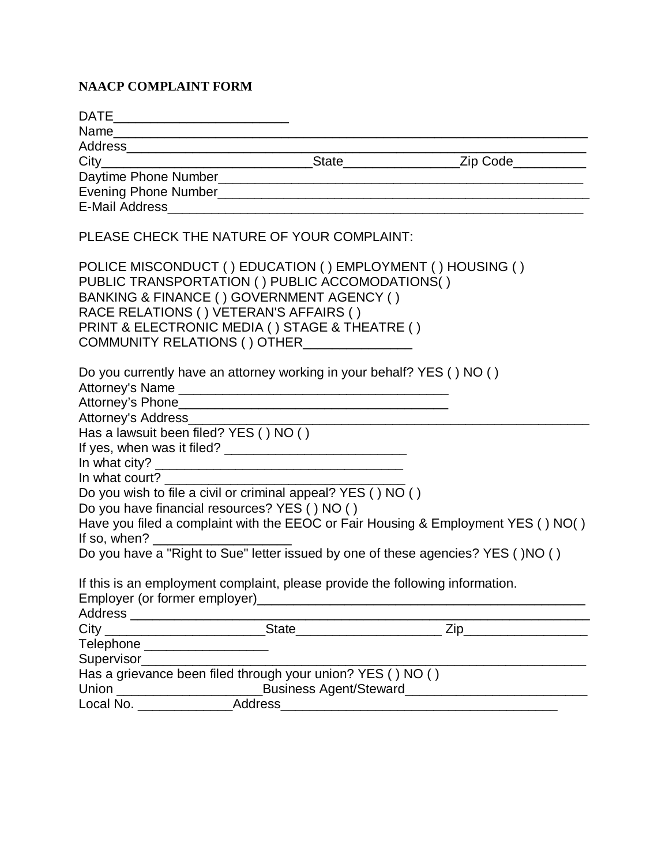## **NAACP COMPLAINT FORM**

| DATE________________________________                                                                                                                                                                                                                                                                  |                                                                                                                      |
|-------------------------------------------------------------------------------------------------------------------------------------------------------------------------------------------------------------------------------------------------------------------------------------------------------|----------------------------------------------------------------------------------------------------------------------|
|                                                                                                                                                                                                                                                                                                       |                                                                                                                      |
|                                                                                                                                                                                                                                                                                                       |                                                                                                                      |
|                                                                                                                                                                                                                                                                                                       |                                                                                                                      |
|                                                                                                                                                                                                                                                                                                       |                                                                                                                      |
|                                                                                                                                                                                                                                                                                                       |                                                                                                                      |
|                                                                                                                                                                                                                                                                                                       |                                                                                                                      |
| PLEASE CHECK THE NATURE OF YOUR COMPLAINT:                                                                                                                                                                                                                                                            |                                                                                                                      |
| POLICE MISCONDUCT () EDUCATION () EMPLOYMENT () HOUSING ()<br>PUBLIC TRANSPORTATION () PUBLIC ACCOMODATIONS()<br>BANKING & FINANCE () GOVERNMENT AGENCY ()<br>RACE RELATIONS () VETERAN'S AFFAIRS ()<br>PRINT & ELECTRONIC MEDIA () STAGE & THEATRE ()<br>COMMUNITY RELATIONS () OTHER_______________ |                                                                                                                      |
| Do you currently have an attorney working in your behalf? YES () NO ()                                                                                                                                                                                                                                |                                                                                                                      |
| Attorney's Address________________                                                                                                                                                                                                                                                                    | <u> 1980 - Johann John Barn, mars eta bainar eta bainar eta baina eta baina eta baina eta baina eta baina eta ba</u> |
| Has a lawsuit been filed? YES () NO ()                                                                                                                                                                                                                                                                |                                                                                                                      |
|                                                                                                                                                                                                                                                                                                       |                                                                                                                      |
|                                                                                                                                                                                                                                                                                                       |                                                                                                                      |
|                                                                                                                                                                                                                                                                                                       |                                                                                                                      |
| Do you wish to file a civil or criminal appeal? YES () NO ()                                                                                                                                                                                                                                          |                                                                                                                      |
| Do you have financial resources? YES () NO ()                                                                                                                                                                                                                                                         |                                                                                                                      |
|                                                                                                                                                                                                                                                                                                       | Have you filed a complaint with the EEOC or Fair Housing & Employment YES () NO()                                    |
|                                                                                                                                                                                                                                                                                                       | Do you have a "Right to Sue" letter issued by one of these agencies? YES ()NO ()                                     |
| If this is an employment complaint, please provide the following information.<br>Address _________________________________                                                                                                                                                                            |                                                                                                                      |
| <u>State</u><br>$\operatorname{City}_{-}$                                                                                                                                                                                                                                                             | $Zip$ <sub>—</sub>                                                                                                   |
| Telephone ____________________                                                                                                                                                                                                                                                                        |                                                                                                                      |
| Supervisor______________________                                                                                                                                                                                                                                                                      |                                                                                                                      |
| Has a grievance been filed through your union? YES () NO ()                                                                                                                                                                                                                                           |                                                                                                                      |
| Union __________________________                                                                                                                                                                                                                                                                      |                                                                                                                      |
| Address<br>Local No. _____________                                                                                                                                                                                                                                                                    |                                                                                                                      |